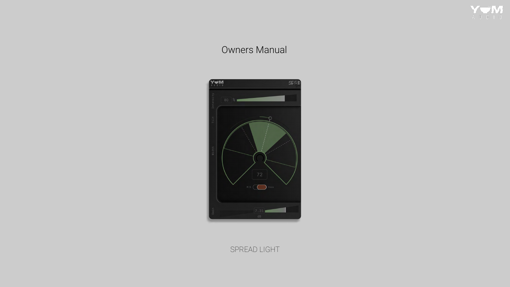

# Owners Manual



## SPREAD LIGHT

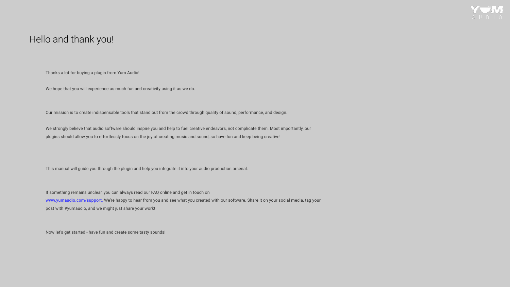## Hello and thank you!

Thanks a lot for buying a plugin from Yum Audio!

We hope that you will experience as much fun and creativity using it as we do.

Our mission is to create indispensable tools that stand out from the crowd through quality of sound, performance, and design.

We strongly believe that audio software should inspire you and help to fuel creative endeavors, not complicate them. Most importantly, our plugins should allow you to effortlessly focus on the joy of creating music and sound, so have fun and keep being creative!

This manual will guide you through the plugin and help you integrate it into your audio production arsenal.

If something remains unclear, you can always read our FAQ online and get in touch on www.yumaudio.com/support. We're happy to hear from you and see what you created with our software. Share it on your social media, tag your post with #yumaudio, and we might just share your work!

Now let's get started - have fun and create some tasty sounds!

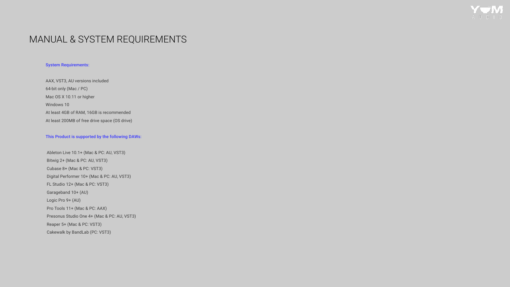## MANUAL & SYSTEM REQUIREMENTS

#### System Requirements:

AAX, VST3, AU versions included 64-bit only (Mac / PC) Mac OS X 10.11 or higher Windows 10 At least 4GB of RAM, 16GB is recommended At least 200MB of free drive space (OS drive)

#### This Product is supported by the following DAWs:

 Ableton Live 10.1+ (Mac & PC: AU, VST3) Bitwig 2+ (Mac & PC: AU, VST3) Cubase 8+ (Mac & PC: VST3) Digital Performer 10+ (Mac & PC: AU, VST3) FL Studio 12+ (Mac & PC: VST3) Garageband 10+ (AU) Logic Pro 9+ (AU) Pro Tools 11+ (Mac & PC: AAX) Presonus Studio One 4+ (Mac & PC: AU, VST3) Reaper 5+ (Mac & PC: VST3) Cakewalk by BandLab (PC: VST3)



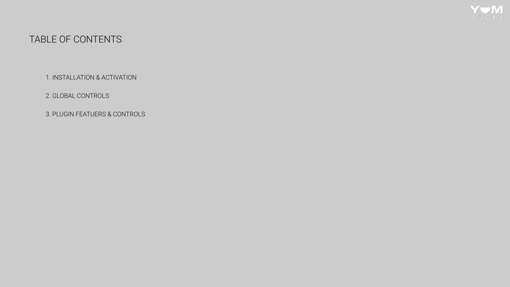# TABLE OF CONTENTS

1. INSTALLATION & ACTIVATION

2. GLOBAL CONTROLS

3. PLUGIN FEATUERS & CONTROLS



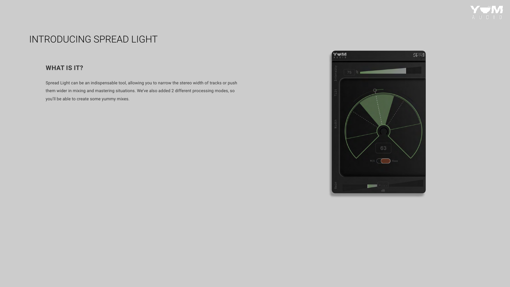# INTRODUCING SPREAD LIGHT

### **WHAT IS IT?**

Spread Light can be an indispensable tool, allowing you to narrow the stereo width of tracks or push them wider in mixing and mastering situations. We've also added 2 different processing modes, so you'll be able to create some yummy mixes.



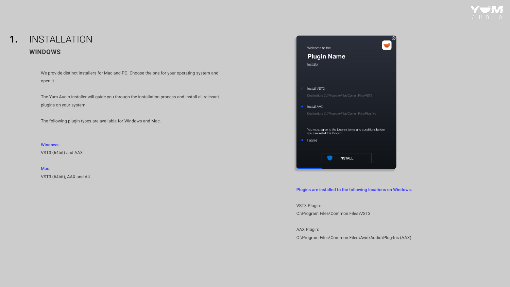#### INSTALLATION **WINDOWS 1.**

We provide distinct installers for Mac and PC. Choose the one for your operating system and open it.

Mac: VST3 (64bit), AAX and AU



The Yum Audio installer will guide you through the installation process and install all relevant plugins on your system.

The following plugin types are available for Windows and Mac.

Windows: VST3 (64bit) and AAX

#### Plugins are installed to the following locations on Windows:

VST3 Plugin:

C:\Program Files\Common Files\VST3

AAX Plugin:

C:\Program Files\Common Files\Avid\Audio\Plug-Ins (AAX)

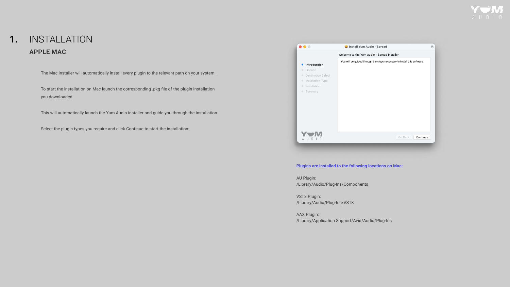### INSTALLATION **APPLE MAC 1.**

The Mac installer will automatically install every plugin to the relevant path on your system.

To start the installation on Mac launch the corresponding .pkg file of the plugin installation you downloaded.

This will automatically launch the Yum Audio installer and guide you through the installation.

Select the plugin types you require and click Continue to start the installation:



#### Plugins are installed to the following locations on Mac:

AU Plugin: /Library/Audio/Plug-Ins/Components

VST3 Plugin: /Library/Audio/Plug-Ins/VST3

AAX Plugin: /Library/Application Support/Avid/Audio/Plug-Ins

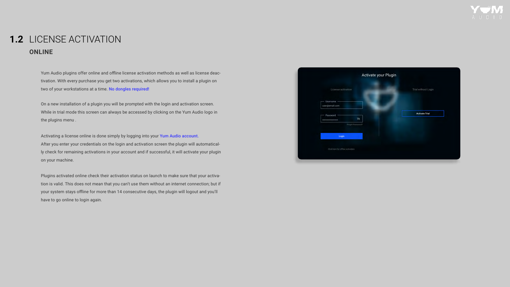## 1.2 LICENSE ACTIVATION **ONLINE**

Yum Audio plugins offer online and offline license activation methods as well as license deactivation. With every purchase you get two activations, which allows you to install a plugin on two of your workstations at a time. No dongles required!

On a new installation of a plugin you will be prompted with the login and activation screen. While in trial mode this screen can always be accessed by clicking on the Yum Audio logo in the plugins menu .

Activating a license online is done simply by logging into your Yum Audio account. After you enter your credentials on the login and activation screen the plugin will automatically check for remaining activations in your account and if successful, it will activate your plugin on your machine.

Plugins activated online check their activation status on launch to make sure that your activation is valid. This does not mean that you can't use them without an internet connection; but if your system stays offline for more than 14 consecutive days, the plugin will logout and you'll have to go online to login again.

| Activate your Plugin                          |                       |
|-----------------------------------------------|-----------------------|
| License activation                            | Trial without Login   |
| Username<br>user@email.com                    |                       |
| Password<br>$\mathscr{D}$<br>**************** | <b>Activate Trial</b> |
| Forgot Password?                              |                       |
| Login                                         |                       |
| Click here for offline activation             |                       |

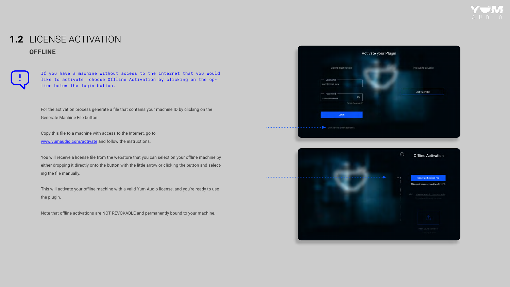## 1.2 LICENSE ACTIVATION **OFFLINE**



If you have a machine without access to the internet that you would like to activate, choose Offline Activation by clicking on the option below the login button.

For the activation process generate a file that contains your machine ID by clicking on the Generate Machine File button.

Copy this file to a machine with access to the Internet, go to www.yumaudio.com/activate and follow the instructions.

You will receive a license file from the webstore that you can select on your offline machine by either dropping it directly onto the button with the little arrow or clicking the button and selecting the file manually.

This will activate your offline machine with a valid Yum Audio license, and you're ready to use the plugin.

Note that offline activations are NOT REVOKABLE and permanently bound to your machine.

| License activation                                    | Trial without Login   |
|-------------------------------------------------------|-----------------------|
| Username                                              |                       |
| user@email.com                                        |                       |
| Password                                              | <b>Activate Trial</b> |
| $\mathscr{D}$<br>****************<br>Forgot Password? |                       |
|                                                       |                       |
| Login                                                 |                       |



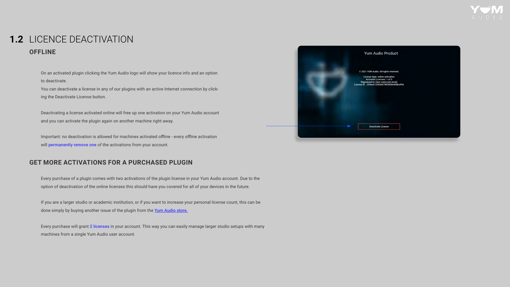## 1.2 LICENCE DEACTIVATION **OFFLINE**

## **GET MORE ACTIVATIONS FOR A PURCHASED PLUGIN**

On an activated plugin clicking the Yum Audio logo will show your licence info and an option to deactivate .

Important: no deactivation is allowed for machines activated offline - every offline activation will permanently remove one of the activations from your account.

You can deactivate a license in any of our plugins with an active Internet connection by clicking the Deactivate License button.

Deactivating a license activated online will free up one activation on your Yum Audio account and you can activate the plugin again on another machine right away.

If you are a larger studio or academic institution, or if you want to increase your personal license count, this can be done simply by buying another issue of the plugin from the Yum Audio store.

Every purchase will grant 2 licenses in your account. This way you can easily manage larger studio setups with many machines from a single Yum Audio user account.





Every purchase of a plugin comes with two activations of the plugin license in your Yum Audio account. Due to the option of deactivation of the online licenses this should have you covered for all of your devices in the future.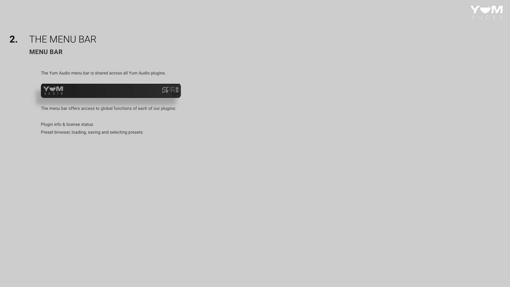## THE MENU BAR **2. MENU BAR**

The Yum Audio menu bar is shared across all Yum Audio plugins.



The menu bar offers access to global functions of each of our plugins:

Plugin info & license status

Preset browser, loading, saving and selecting presets



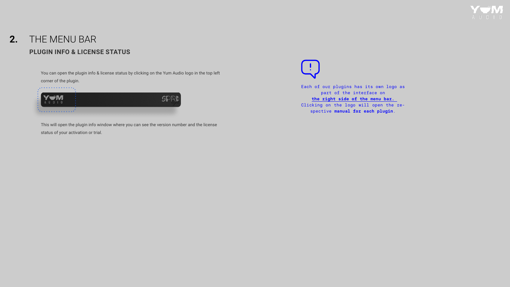## THE MENU BAR **PLUGIN INFO & LICENSE STATUS 2.**

You can open the plugin info & license status by clicking on the Yum Audio logo in the top left corner of the plugin.



This will open the plugin info window where you can see the version number and the license status of your activation or trial.

Each of our plugins has its own logo as part of the interface on **the right side of the menu bar.**  Clicking on the logo will open the respective **manual for each plugin**.

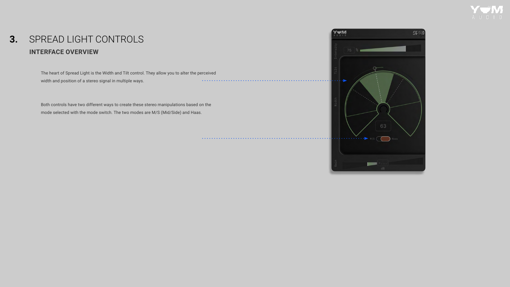### SPREAD LIGHT CONTROLS **INTERFACE OVERVIEW 3.**

The heart of Spread Light is the Width and Tilt control. They allow you to alter the perceived width and position of a stereo signal in multiple ways. . . . . . . . . . . .

Both controls have two different ways to create these stereo manipulations based on the mode selected with the mode switch. The two modes are M/S (Mid/Side) and Haas.



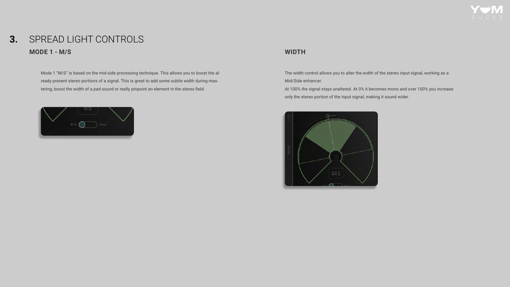## SPREAD LIGHT CONTROLS **MODE 1 - M/S WIDTH 3.**

Mode 1 "M/S" is based on the mid-side processing technique. This allows you to boost the already present stereo portions of a signal. This is great to add some subtle width during mastering, boost the width of a pad sound or really pinpoint an element in the stereo field.



The width control allows you to alter the width of the stereo input signal, working as a Mid/Side enhancer.

At 100% the signal stays unaltered. At 0% it becomes mono and over 100% you increase only the stereo portion of the input signal, making it sound wider.



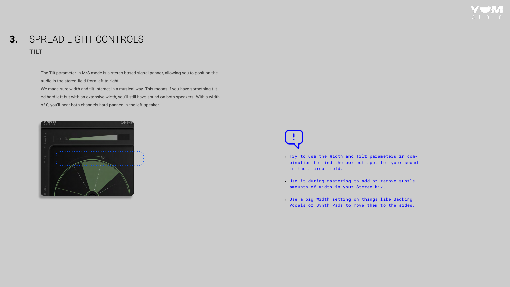## SPREAD LIGHT CONTROLS **TILT 3.**

The Tilt parameter in M/S mode is a stereo based signal panner, allowing you to position the audio in the stereo field from left to right.

We made sure width and tilt interact in a musical way. This means if you have something tilted hard left but with an extensive width, you'll still have sound on both speakers. With a width of 0, you'll hear both channels hard-panned in the left speaker.



- Try to use the Width and Tilt parameters in combination to find the perfect spot for your sound in the stereo field.
- Use it during mastering to add or remove subtle amounts of width in your Stereo Mix.
- Use a big Width setting on things like Backing Vocals or Synth Pads to move them to the sides.

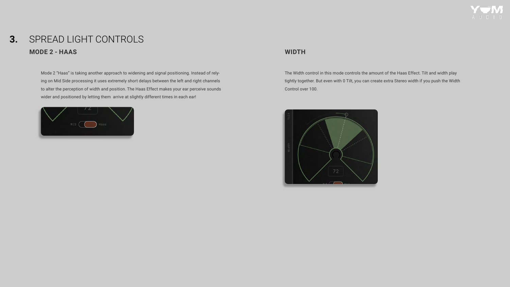## SPREAD LIGHT CONTROLS **MODE 2 - HAAS WIDTH 3.**

Mode 2 "Haas" is taking another approach to widening and signal positioning. Instead of relying on Mid Side processing it uses extremely short delays between the left and right channels to alter the perception of width and position. The Haas Effect makes your ear perceive sounds wider and positioned by letting them arrive at slightly different times in each ear!



The Width control in this mode controls the amount of the Haas Effect. Tilt and width play tightly together. But even with 0 Tilt, you can create extra Stereo width if you push the Width Control over 100.



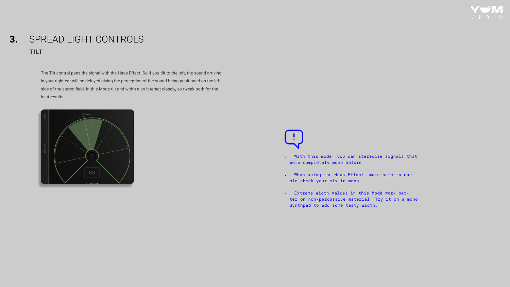## SPREAD LIGHT CONTROLS **TILT 3.**

The Tilt control pans the signal with the Haas Effect. So if you tilt to the left, the sound arriving in your right ear will be delayed giving the perception of the sound being positioned on the left side of the stereo field. In this Mode tilt and width also interact closely, so tweak both for the best results.



- With this mode, you can stereoize signals that were completely mono before!
- . When using the Haas Effect, make sure to double-check your mix in mono.
- Extreme Width Values in this Mode work better on non-percussive material. Try it on a mono Synthpad to add some tasty width.

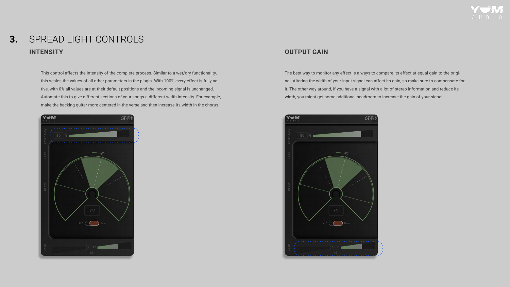### SPREAD LIGHT CONTROLS **INTENSITY OUTPUT GAIN 3.**

This control affects the Intensity of the complete process. Similar to a wet/dry functionality, this scales the values of all other parameters in the plugin. With 100% every effect is fully active, with 0% all values are at their default positions and the incoming signal is unchanged. Automate this to give different sections of your songs a different width intensity. For example, make the backing guitar more centered in the verse and then increase its width in the chorus.



The best way to monitor any effect is always to compare its effect at equal gain to the original. Altering the width of your input signal can affect its gain, so make sure to compensate for it. The other way around, if you have a signal with a lot of stereo information and reduce its width, you might get some additional headroom to increase the gain of your signal.



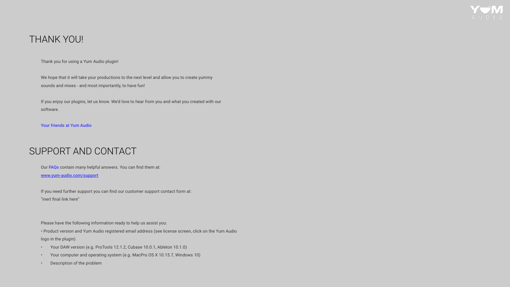## THANK YOU!

Thank you for using a Yum Audio plugin!

We hope that it will take your productions to the next level and allow you to create yummy sounds and mixes - and most importantly, to have fun!

If you enjoy our plugins, let us know. We'd love to hear from you and what you created with our software.

Your friends at Yum Audio

Our FAQs contain many helpful answers. You can find them at: www.yum-audio.com/support

If you need further support you can find our customer support contact form at: "inert final link here"

Please have the following information ready to help us assist you:

• Product version and Yum Audio registered email address (see license screen, click on the Yum Audio logo in the plugin)

- Your DAW version (e.g. ProTools 12.1.2, Cubase 10.0.1, Ableton 10.1.0)
- Your computer and operating system (e.g. MacPro OS X 10.15.7, Windows 10)
- Description of the problem





# SUPPORT AND CONTACT